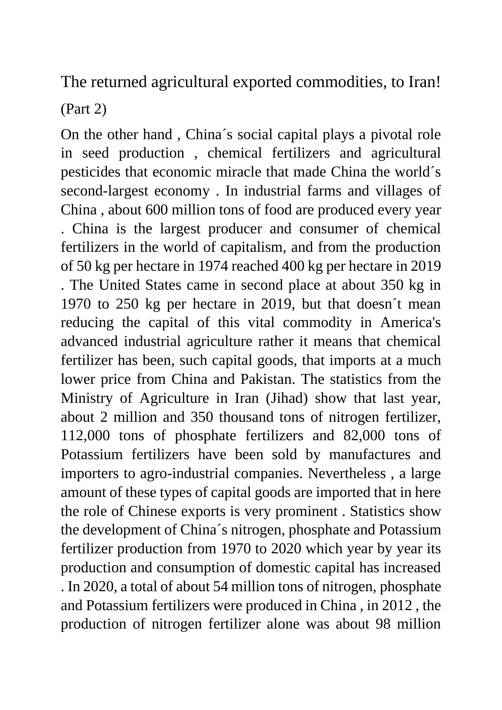The returned agricultural exported commodities, to Iran!

(Part 2)

On the other hand , China´s social capital plays a pivotal role in seed production , chemical fertilizers and agricultural pesticides that economic miracle that made China the world´s second-largest economy . In industrial farms and villages of China , about 600 million tons of food are produced every year . China is the largest producer and consumer of chemical fertilizers in the world of capitalism, and from the production of 50 kg per hectare in 1974 reached 400 kg per hectare in 2019 . The United States came in second place at about 350 kg in 1970 to 250 kg per hectare in 2019, but that doesn´t mean reducing the capital of this vital commodity in America's advanced industrial agriculture rather it means that chemical fertilizer has been, such capital goods, that imports at a much lower price from China and Pakistan. The statistics from the Ministry of Agriculture in Iran (Jihad) show that last year, about 2 million and 350 thousand tons of nitrogen fertilizer, 112,000 tons of phosphate fertilizers and 82,000 tons of Potassium fertilizers have been sold by manufactures and importers to agro-industrial companies. Nevertheless , a large amount of these types of capital goods are imported that in here the role of Chinese exports is very prominent . Statistics show the development of China´s nitrogen, phosphate and Potassium fertilizer production from 1970 to 2020 which year by year its production and consumption of domestic capital has increased . In 2020, a total of about 54 million tons of nitrogen, phosphate and Potassium fertilizers were produced in China , in 2012 , the production of nitrogen fertilizer alone was about 98 million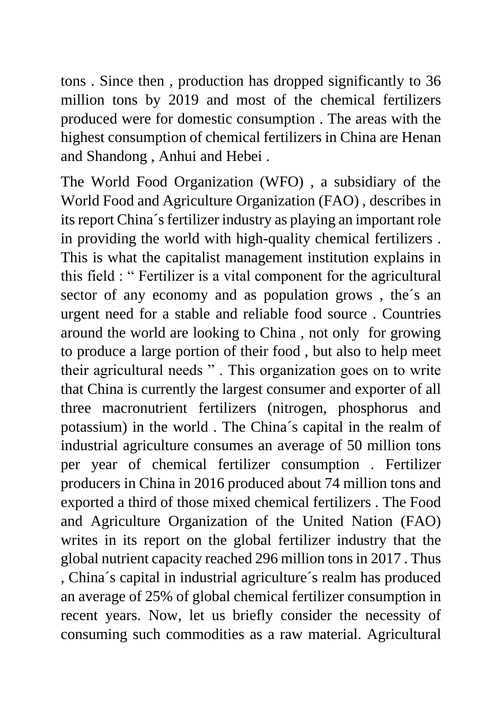tons . Since then , production has dropped significantly to 36 million tons by 2019 and most of the chemical fertilizers produced were for domestic consumption . The areas with the highest consumption of chemical fertilizers in China are Henan and Shandong , Anhui and Hebei .

The World Food Organization (WFO) , a subsidiary of the World Food and Agriculture Organization (FAO) , describes in its report China´s fertilizer industry as playing an important role in providing the world with high-quality chemical fertilizers . This is what the capitalist management institution explains in this field : " Fertilizer is a vital component for the agricultural sector of any economy and as population grows , the´s an urgent need for a stable and reliable food source . Countries around the world are looking to China , not only for growing to produce a large portion of their food , but also to help meet their agricultural needs " . This organization goes on to write that China is currently the largest consumer and exporter of all three macronutrient fertilizers (nitrogen, phosphorus and potassium) in the world . The China´s capital in the realm of industrial agriculture consumes an average of 50 million tons per year of chemical fertilizer consumption . Fertilizer producers in China in 2016 produced about 74 million tons and exported a third of those mixed chemical fertilizers . The Food and Agriculture Organization of the United Nation (FAO) writes in its report on the global fertilizer industry that the global nutrient capacity reached 296 million tons in 2017 . Thus , China´s capital in industrial agriculture´s realm has produced an average of 25% of global chemical fertilizer consumption in recent years. Now, let us briefly consider the necessity of consuming such commodities as a raw material. Agricultural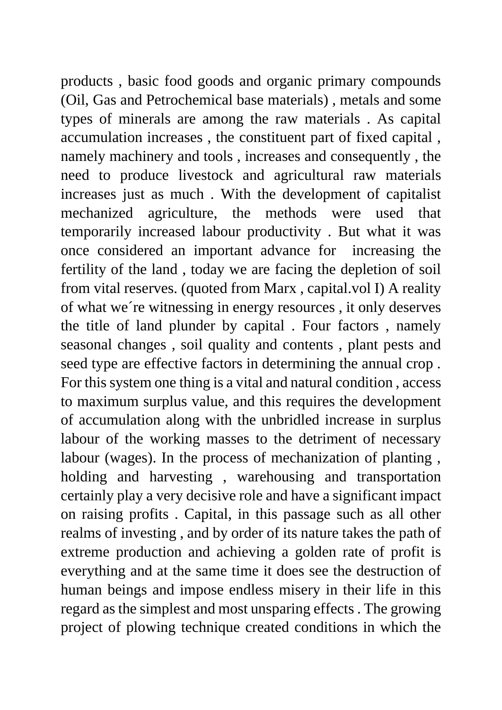products , basic food goods and organic primary compounds (Oil, Gas and Petrochemical base materials) , metals and some types of minerals are among the raw materials . As capital accumulation increases , the constituent part of fixed capital , namely machinery and tools , increases and consequently , the need to produce livestock and agricultural raw materials increases just as much . With the development of capitalist mechanized agriculture, the methods were used that temporarily increased labour productivity . But what it was once considered an important advance for increasing the fertility of the land , today we are facing the depletion of soil from vital reserves. (quoted from Marx , capital.vol I) A reality of what we´re witnessing in energy resources , it only deserves the title of land plunder by capital . Four factors , namely seasonal changes , soil quality and contents , plant pests and seed type are effective factors in determining the annual crop . For this system one thing is a vital and natural condition , access to maximum surplus value, and this requires the development of accumulation along with the unbridled increase in surplus labour of the working masses to the detriment of necessary labour (wages). In the process of mechanization of planting , holding and harvesting , warehousing and transportation certainly play a very decisive role and have a significant impact on raising profits . Capital, in this passage such as all other realms of investing , and by order of its nature takes the path of extreme production and achieving a golden rate of profit is everything and at the same time it does see the destruction of human beings and impose endless misery in their life in this regard as the simplest and most unsparing effects . The growing project of plowing technique created conditions in which the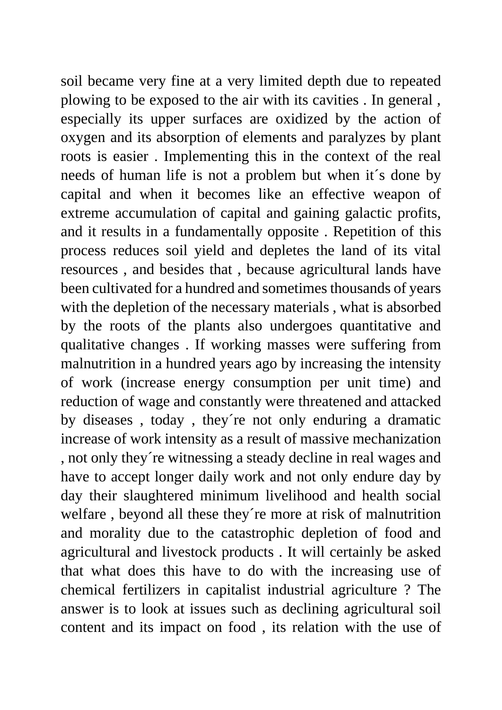soil became very fine at a very limited depth due to repeated plowing to be exposed to the air with its cavities . In general , especially its upper surfaces are oxidized by the action of oxygen and its absorption of elements and paralyzes by plant roots is easier . Implementing this in the context of the real needs of human life is not a problem but when it´s done by capital and when it becomes like an effective weapon of extreme accumulation of capital and gaining galactic profits, and it results in a fundamentally opposite . Repetition of this process reduces soil yield and depletes the land of its vital resources , and besides that , because agricultural lands have been cultivated for a hundred and sometimes thousands of years with the depletion of the necessary materials , what is absorbed by the roots of the plants also undergoes quantitative and qualitative changes . If working masses were suffering from malnutrition in a hundred years ago by increasing the intensity of work (increase energy consumption per unit time) and reduction of wage and constantly were threatened and attacked by diseases , today , they´re not only enduring a dramatic increase of work intensity as a result of massive mechanization , not only they´re witnessing a steady decline in real wages and have to accept longer daily work and not only endure day by day their slaughtered minimum livelihood and health social welfare , beyond all these they´re more at risk of malnutrition and morality due to the catastrophic depletion of food and agricultural and livestock products . It will certainly be asked that what does this have to do with the increasing use of chemical fertilizers in capitalist industrial agriculture ? The answer is to look at issues such as declining agricultural soil content and its impact on food , its relation with the use of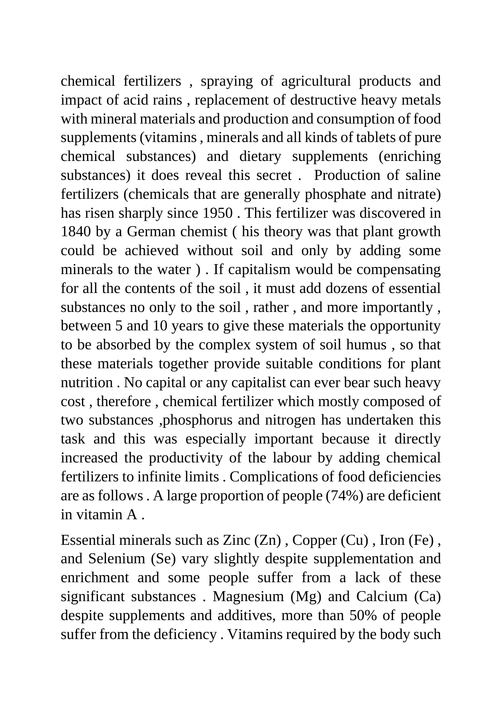chemical fertilizers , spraying of agricultural products and impact of acid rains , replacement of destructive heavy metals with mineral materials and production and consumption of food supplements (vitamins , minerals and all kinds of tablets of pure chemical substances) and dietary supplements (enriching substances) it does reveal this secret . Production of saline fertilizers (chemicals that are generally phosphate and nitrate) has risen sharply since 1950 . This fertilizer was discovered in 1840 by a German chemist ( his theory was that plant growth could be achieved without soil and only by adding some minerals to the water ) . If capitalism would be compensating for all the contents of the soil , it must add dozens of essential substances no only to the soil , rather , and more importantly , between 5 and 10 years to give these materials the opportunity to be absorbed by the complex system of soil humus , so that these materials together provide suitable conditions for plant nutrition . No capital or any capitalist can ever bear such heavy cost , therefore , chemical fertilizer which mostly composed of two substances ,phosphorus and nitrogen has undertaken this task and this was especially important because it directly increased the productivity of the labour by adding chemical fertilizers to infinite limits . Complications of food deficiencies are as follows . A large proportion of people (74%) are deficient in vitamin A .

Essential minerals such as Zinc (Zn) , Copper (Cu) , Iron (Fe) , and Selenium (Se) vary slightly despite supplementation and enrichment and some people suffer from a lack of these significant substances . Magnesium (Mg) and Calcium (Ca) despite supplements and additives, more than 50% of people suffer from the deficiency . Vitamins required by the body such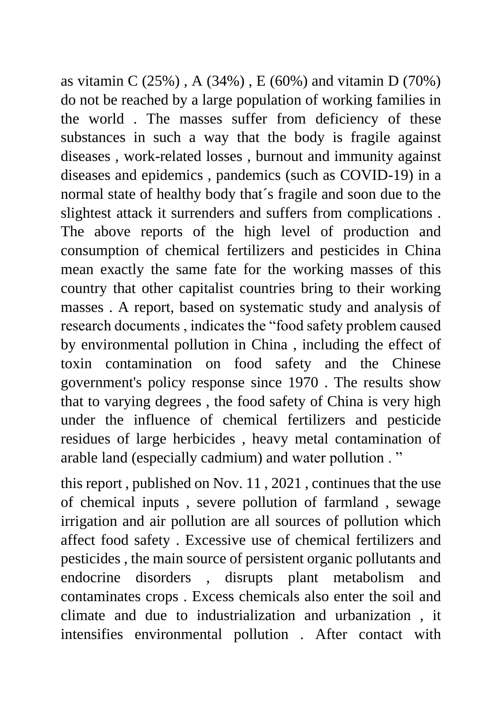as vitamin C (25%) , A (34%) , E (60%) and vitamin D (70%) do not be reached by a large population of working families in the world . The masses suffer from deficiency of these substances in such a way that the body is fragile against diseases , work-related losses , burnout and immunity against diseases and epidemics , pandemics (such as COVID-19) in a normal state of healthy body that´s fragile and soon due to the slightest attack it surrenders and suffers from complications . The above reports of the high level of production and consumption of chemical fertilizers and pesticides in China mean exactly the same fate for the working masses of this country that other capitalist countries bring to their working masses . A report, based on systematic study and analysis of research documents , indicates the "food safety problem caused by environmental pollution in China , including the effect of toxin contamination on food safety and the Chinese government's policy response since 1970 . The results show that to varying degrees , the food safety of China is very high under the influence of chemical fertilizers and pesticide residues of large herbicides , heavy metal contamination of arable land (especially cadmium) and water pollution . "

this report , published on Nov. 11 , 2021 , continues that the use of chemical inputs , severe pollution of farmland , sewage irrigation and air pollution are all sources of pollution which affect food safety . Excessive use of chemical fertilizers and pesticides , the main source of persistent organic pollutants and endocrine disorders , disrupts plant metabolism and contaminates crops . Excess chemicals also enter the soil and climate and due to industrialization and urbanization , it intensifies environmental pollution . After contact with